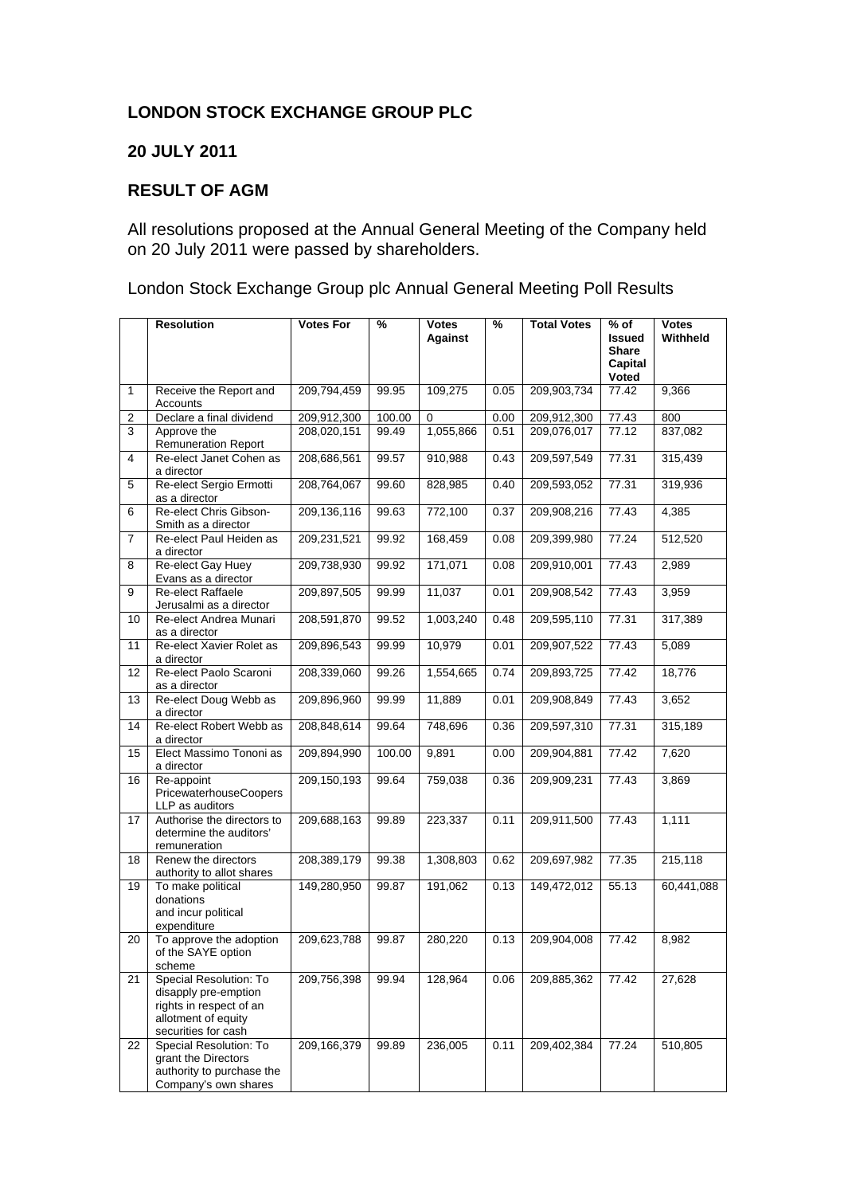## **LONDON STOCK EXCHANGE GROUP PLC**

## **20 JULY 2011**

## **RESULT OF AGM**

All resolutions proposed at the Annual General Meeting of the Company held on 20 July 2011 were passed by shareholders.

London Stock Exchange Group plc Annual General Meeting Poll Results

|                         | <b>Resolution</b>                                                                                                       | <b>Votes For</b> | %      | <b>Votes</b><br><b>Against</b> | $\%$ | <b>Total Votes</b> | $%$ of<br><b>Issued</b><br><b>Share</b> | <b>Votes</b><br>Withheld |
|-------------------------|-------------------------------------------------------------------------------------------------------------------------|------------------|--------|--------------------------------|------|--------------------|-----------------------------------------|--------------------------|
|                         |                                                                                                                         |                  |        |                                |      |                    | Capital<br>Voted                        |                          |
| $\mathbf{1}$            | Receive the Report and<br>Accounts                                                                                      | 209,794,459      | 99.95  | 109,275                        | 0.05 | 209,903,734        | 77.42                                   | 9,366                    |
| $\overline{\mathbf{c}}$ | Declare a final dividend                                                                                                | 209,912,300      | 100.00 | 0                              | 0.00 | 209,912,300        | 77.43                                   | 800                      |
| $\overline{3}$          | Approve the<br><b>Remuneration Report</b>                                                                               | 208,020,151      | 99.49  | 1,055,866                      | 0.51 | 209,076,017        | 77.12                                   | 837,082                  |
| 4                       | Re-elect Janet Cohen as<br>a director                                                                                   | 208,686,561      | 99.57  | 910,988                        | 0.43 | 209,597,549        | 77.31                                   | 315,439                  |
| 5                       | Re-elect Sergio Ermotti<br>as a director                                                                                | 208,764,067      | 99.60  | 828,985                        | 0.40 | 209,593,052        | 77.31                                   | 319,936                  |
| 6                       | Re-elect Chris Gibson-<br>Smith as a director                                                                           | 209,136,116      | 99.63  | 772,100                        | 0.37 | 209,908,216        | 77.43                                   | 4,385                    |
| $\overline{7}$          | Re-elect Paul Heiden as<br>a director                                                                                   | 209,231,521      | 99.92  | 168,459                        | 0.08 | 209,399,980        | 77.24                                   | 512,520                  |
| 8                       | Re-elect Gay Huey<br>Evans as a director                                                                                | 209,738,930      | 99.92  | 171,071                        | 0.08 | 209,910,001        | 77.43                                   | 2,989                    |
| 9                       | Re-elect Raffaele<br>Jerusalmi as a director                                                                            | 209,897,505      | 99.99  | 11,037                         | 0.01 | 209,908,542        | 77.43                                   | 3,959                    |
| 10                      | Re-elect Andrea Munari<br>as a director                                                                                 | 208,591,870      | 99.52  | 1,003,240                      | 0.48 | 209,595,110        | 77.31                                   | 317,389                  |
| 11                      | Re-elect Xavier Rolet as<br>a director                                                                                  | 209,896,543      | 99.99  | 10,979                         | 0.01 | 209,907,522        | 77.43                                   | 5,089                    |
| 12                      | Re-elect Paolo Scaroni<br>as a director                                                                                 | 208,339,060      | 99.26  | 1,554,665                      | 0.74 | 209,893,725        | 77.42                                   | 18,776                   |
| 13                      | Re-elect Doug Webb as<br>a director                                                                                     | 209,896,960      | 99.99  | 11,889                         | 0.01 | 209,908,849        | 77.43                                   | 3,652                    |
| 14                      | Re-elect Robert Webb as<br>a director                                                                                   | 208,848,614      | 99.64  | 748,696                        | 0.36 | 209,597,310        | 77.31                                   | 315,189                  |
| 15                      | Elect Massimo Tononi as<br>a director                                                                                   | 209,894,990      | 100.00 | 9,891                          | 0.00 | 209,904,881        | 77.42                                   | 7,620                    |
| 16                      | Re-appoint<br>PricewaterhouseCoopers<br>LLP as auditors                                                                 | 209,150,193      | 99.64  | 759,038                        | 0.36 | 209,909,231        | 77.43                                   | 3,869                    |
| $\overline{17}$         | Authorise the directors to<br>determine the auditors'<br>remuneration                                                   | 209,688,163      | 99.89  | 223,337                        | 0.11 | 209,911,500        | 77.43                                   | 1,111                    |
| 18                      | Renew the directors<br>authority to allot shares                                                                        | 208,389,179      | 99.38  | 1,308,803                      | 0.62 | 209,697,982        | 77.35                                   | 215,118                  |
| 19                      | To make political<br>donations<br>and incur political<br>expenditure                                                    | 149,280,950      | 99.87  | 191,062                        | 0.13 | 149,472,012        | 55.13                                   | 60,441,088               |
| 20                      | To approve the adoption<br>of the SAYE option<br>scheme                                                                 | 209,623,788      | 99.87  | 280,220                        | 0.13 | 209,904,008        | 77.42                                   | 8,982                    |
| 21                      | Special Resolution: To<br>disapply pre-emption<br>rights in respect of an<br>allotment of equity<br>securities for cash | 209,756,398      | 99.94  | 128,964                        | 0.06 | 209,885,362        | 77.42                                   | 27,628                   |
| 22                      | Special Resolution: To<br>grant the Directors<br>authority to purchase the<br>Company's own shares                      | 209,166,379      | 99.89  | 236,005                        | 0.11 | 209,402,384        | 77.24                                   | 510,805                  |